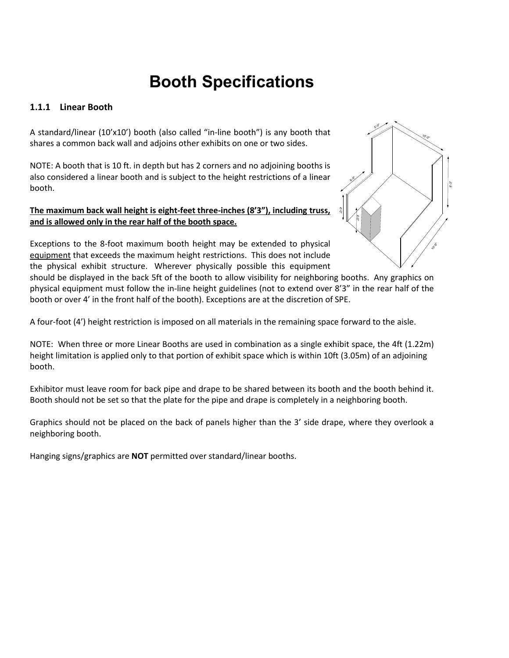# **Booth Specifications**

# **1.1.1 Linear Booth**

A standard/linear (10'x10') booth (also called "in-line booth") is any booth that shares a common back wall and adjoins other exhibits on one or two sides.

NOTE: A booth that is 10 ft. in depth but has 2 corners and no adjoining booths is also considered a linear booth and is subject to the height restrictions of a linear booth.

### **The maximum back wall height is eight-feet three-inches (8'3"), including truss, and is allowed only in the rear half of the booth space.**

Exceptions to the 8-foot maximum booth height may be extended to physical equipment that exceeds the maximum height restrictions. This does not include the physical exhibit structure. Wherever physically possible this equipment



should be displayed in the back 5ft of the booth to allow visibility for neighboring booths. Any graphics on physical equipment must follow the in-line height guidelines (not to extend over 8'3" in the rear half of the booth or over 4' in the front half of the booth). Exceptions are at the discretion of SPE.

A four-foot (4') height restriction is imposed on all materials in the remaining space forward to the aisle.

NOTE: When three or more Linear Booths are used in combination as a single exhibit space, the 4ft (1.22m) height limitation is applied only to that portion of exhibit space which is within 10ft (3.05m) of an adjoining booth.

Exhibitor must leave room for back pipe and drape to be shared between its booth and the booth behind it. Booth should not be set so that the plate for the pipe and drape is completely in a neighboring booth.

Graphics should not be placed on the back of panels higher than the 3' side drape, where they overlook a neighboring booth.

Hanging signs/graphics are **NOT** permitted over standard/linear booths.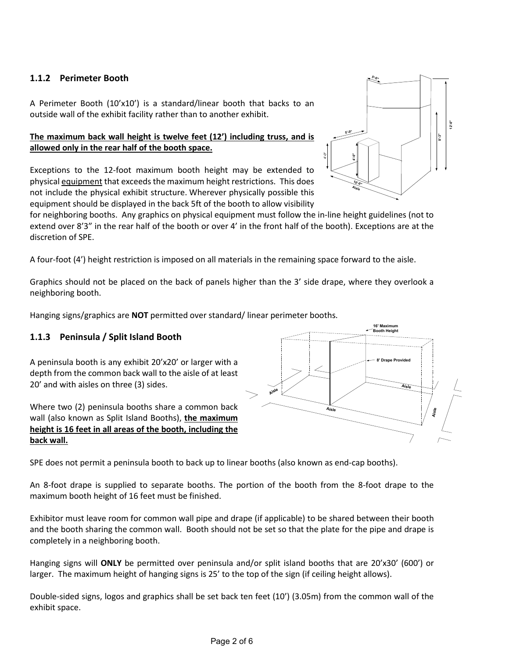# **1.1.2 Perimeter Booth**

A Perimeter Booth (10'x10') is a standard/linear booth that backs to an outside wall of the exhibit facility rather than to another exhibit.

# **The maximum back wall height is twelve feet (12') including truss, and is allowed only in the rear half of the booth space.**

Exceptions to the 12-foot maximum booth height may be extended to physical equipment that exceeds the maximum height restrictions. This does not include the physical exhibit structure. Wherever physically possible this equipment should be displayed in the back 5ft of the booth to allow visibility

for neighboring booths. Any graphics on physical equipment must follow the in-line height guidelines (not to extend over 8'3" in the rear half of the booth or over 4' in the front half of the booth). Exceptions are at the discretion of SPE.

A four-foot (4') height restriction is imposed on all materials in the remaining space forward to the aisle.

Graphics should not be placed on the back of panels higher than the 3' side drape, where they overlook a neighboring booth.

Hanging signs/graphics are **NOT** permitted over standard/ linear perimeter booths.

# **1.1.3 Peninsula / Split Island Booth**

A peninsula booth is any exhibit 20'x20' or larger with a depth from the common back wall to the aisle of at least 20' and with aisles on three (3) sides.

Where two (2) peninsula booths share a common back wall (also known as Split Island Booths), **the maximum height is 16 feet in all areas of the booth, including the back wall.**

SPE does not permit a peninsula booth to back up to linear booths (also known as end-cap booths).

An 8-foot drape is supplied to separate booths. The portion of the booth from the 8-foot drape to the maximum booth height of 16 feet must be finished.

Exhibitor must leave room for common wall pipe and drape (if applicable) to be shared between their booth and the booth sharing the common wall. Booth should not be set so that the plate for the pipe and drape is completely in a neighboring booth.

Hanging signs will **ONLY** be permitted over peninsula and/or split island booths that are 20'x30' (600') or larger. The maximum height of hanging signs is 25' to the top of the sign (if ceiling height allows).

Double-sided signs, logos and graphics shall be set back ten feet (10') (3.05m) from the common wall of the exhibit space.



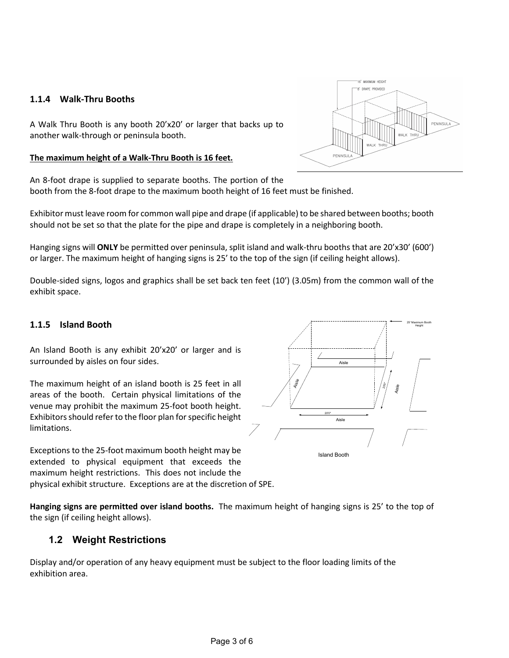## **1.1.4 Walk-Thru Booths**

A Walk Thru Booth is any booth 20'x20' or larger that backs up to another walk-through or peninsula booth.

#### **The maximum height of a Walk-Thru Booth is 16 feet.**

An 8-foot drape is supplied to separate booths. The portion of the booth from the 8-foot drape to the maximum booth height of 16 feet must be finished.

Exhibitor must leave room for common wall pipe and drape (if applicable) to be shared between booths; booth should not be set so that the plate for the pipe and drape is completely in a neighboring booth.

Hanging signs will **ONLY** be permitted over peninsula, split island and walk-thru booths that are 20'x30' (600') or larger. The maximum height of hanging signs is 25' to the top of the sign (if ceiling height allows).

Double-sided signs, logos and graphics shall be set back ten feet (10') (3.05m) from the common wall of the exhibit space.

#### **1.1.5 Island Booth**

An Island Booth is any exhibit 20'x20' or larger and is surrounded by aisles on four sides.

The maximum height of an island booth is 25 feet in all areas of the booth. Certain physical limitations of the venue may prohibit the maximum 25-foot booth height. Exhibitors should refer to the floor plan forspecific height limitations.

Exceptions to the 25-foot maximum booth height may be extended to physical equipment that exceeds the maximum height restrictions. This does not include the physical exhibit structure. Exceptions are at the discretion of SPE.

**Hanging signs are permitted over island booths.** The maximum height of hanging signs is 25' to the top of the sign (if ceiling height allows).

# **1.2 Weight Restrictions**

Display and/or operation of any heavy equipment must be subject to the floor loading limits of the exhibition area.



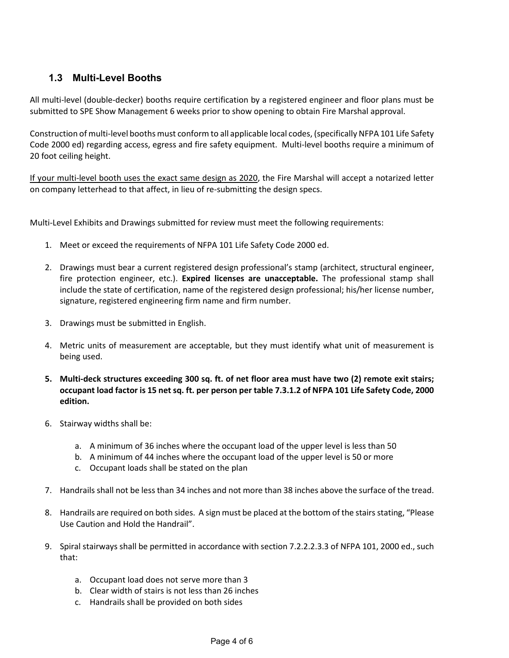# **1.3 Multi-Level Booths**

All multi-level (double-decker) booths require certification by a registered engineer and floor plans must be submitted to SPE Show Management 6 weeks prior to show opening to obtain Fire Marshal approval.

Construction of multi-level booths must conform to all applicable local codes, (specifically NFPA 101 Life Safety Code 2000 ed) regarding access, egress and fire safety equipment. Multi-level booths require a minimum of 20 foot ceiling height.

If your multi-level booth uses the exact same design as 2020, the Fire Marshal will accept a notarized letter on company letterhead to that affect, in lieu of re-submitting the design specs.

Multi-Level Exhibits and Drawings submitted for review must meet the following requirements:

- 1. Meet or exceed the requirements of NFPA 101 Life Safety Code 2000 ed.
- 2. Drawings must bear a current registered design professional's stamp (architect, structural engineer, fire protection engineer, etc.). **Expired licenses are unacceptable.** The professional stamp shall include the state of certification, name of the registered design professional; his/her license number, signature, registered engineering firm name and firm number.
- 3. Drawings must be submitted in English.
- 4. Metric units of measurement are acceptable, but they must identify what unit of measurement is being used.
- **5. Multi-deck structures exceeding 300 sq. ft. of net floor area must have two (2) remote exit stairs; occupant load factor is 15 net sq. ft. per person per table 7.3.1.2 of NFPA 101 Life Safety Code, 2000 edition.**
- 6. Stairway widths shall be:
	- a. A minimum of 36 inches where the occupant load of the upper level is less than 50
	- b. A minimum of 44 inches where the occupant load of the upper level is 50 or more
	- c. Occupant loads shall be stated on the plan
- 7. Handrails shall not be less than 34 inches and not more than 38 inches above the surface of the tread.
- 8. Handrails are required on both sides. A sign must be placed at the bottom of the stairs stating, "Please Use Caution and Hold the Handrail".
- 9. Spiral stairways shall be permitted in accordance with section 7.2.2.2.3.3 of NFPA 101, 2000 ed., such that:
	- a. Occupant load does not serve more than 3
	- b. Clear width of stairs is not less than 26 inches
	- c. Handrails shall be provided on both sides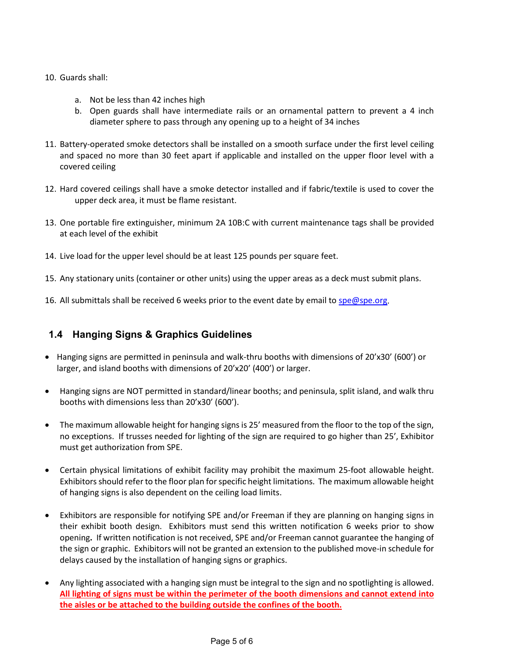#### 10. Guards shall:

- a. Not be less than 42 inches high
- b. Open guards shall have intermediate rails or an ornamental pattern to prevent a 4 inch diameter sphere to pass through any opening up to a height of 34 inches
- 11. Battery-operated smoke detectors shall be installed on a smooth surface under the first level ceiling and spaced no more than 30 feet apart if applicable and installed on the upper floor level with a covered ceiling
- 12. Hard covered ceilings shall have a smoke detector installed and if fabric/textile is used to cover the upper deck area, it must be flame resistant.
- 13. One portable fire extinguisher, minimum 2A 10B:C with current maintenance tags shall be provided at each level of the exhibit
- 14. Live load for the upper level should be at least 125 pounds per square feet.
- 15. Any stationary units (container or other units) using the upper areas as a deck must submit plans.
- 16. All submittals shall be received 6 weeks prior to the event date by email to [spe@spe.org.](mailto:spe@spe.org)

# **1.4 Hanging Signs & Graphics Guidelines**

- Hanging signs are permitted in peninsula and walk-thru booths with dimensions of 20'x30' (600') or larger, and island booths with dimensions of 20'x20' (400') or larger.
- Hanging signs are NOT permitted in standard/linear booths; and peninsula, split island, and walk thru booths with dimensions less than 20'x30' (600').
- The maximum allowable height for hanging signs is 25' measured from the floor to the top of the sign, no exceptions. If trusses needed for lighting of the sign are required to go higher than 25', Exhibitor must get authorization from SPE.
- Certain physical limitations of exhibit facility may prohibit the maximum 25-foot allowable height. Exhibitors should refer to the floor plan forspecific height limitations. The maximum allowable height of hanging signs is also dependent on the ceiling load limits.
- Exhibitors are responsible for notifying SPE and/or Freeman if they are planning on hanging signs in their exhibit booth design. Exhibitors must send this written notification 6 weeks prior to show opening**.** If written notification is not received, SPE and/or Freeman cannot guarantee the hanging of the sign or graphic. Exhibitors will not be granted an extension to the published move-in schedule for delays caused by the installation of hanging signs or graphics.
- Any lighting associated with a hanging sign must be integral to the sign and no spotlighting is allowed. **All lighting of signs must be within the perimeter of the booth dimensions and cannot extend into the aisles or be attached to the building outside the confines of the booth.**